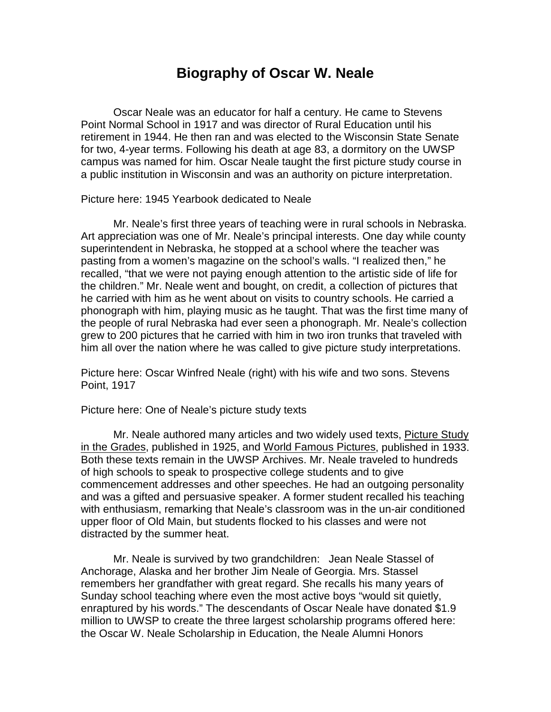## **Biography of Oscar W. Neale**

Oscar Neale was an educator for half a century. He came to Stevens Point Normal School in 1917 and was director of Rural Education until his retirement in 1944. He then ran and was elected to the Wisconsin State Senate for two, 4-year terms. Following his death at age 83, a dormitory on the UWSP campus was named for him. Oscar Neale taught the first picture study course in a public institution in Wisconsin and was an authority on picture interpretation.

Picture here: 1945 Yearbook dedicated to Neale

Mr. Neale's first three years of teaching were in rural schools in Nebraska. Art appreciation was one of Mr. Neale's principal interests. One day while county superintendent in Nebraska, he stopped at a school where the teacher was pasting from a women's magazine on the school's walls. "I realized then," he recalled, "that we were not paying enough attention to the artistic side of life for the children." Mr. Neale went and bought, on credit, a collection of pictures that he carried with him as he went about on visits to country schools. He carried a phonograph with him, playing music as he taught. That was the first time many of the people of rural Nebraska had ever seen a phonograph. Mr. Neale's collection grew to 200 pictures that he carried with him in two iron trunks that traveled with him all over the nation where he was called to give picture study interpretations.

Picture here: Oscar Winfred Neale (right) with his wife and two sons. Stevens Point, 1917

Picture here: One of Neale's picture study texts

Mr. Neale authored many articles and two widely used texts, Picture Study in the Grades, published in 1925, and World Famous Pictures, published in 1933. Both these texts remain in the UWSP Archives. Mr. Neale traveled to hundreds of high schools to speak to prospective college students and to give commencement addresses and other speeches. He had an outgoing personality and was a gifted and persuasive speaker. A former student recalled his teaching with enthusiasm, remarking that Neale's classroom was in the un-air conditioned upper floor of Old Main, but students flocked to his classes and were not distracted by the summer heat.

Mr. Neale is survived by two grandchildren: Jean Neale Stassel of Anchorage, Alaska and her brother Jim Neale of Georgia. Mrs. Stassel remembers her grandfather with great regard. She recalls his many years of Sunday school teaching where even the most active boys "would sit quietly, enraptured by his words." The descendants of Oscar Neale have donated \$1.9 million to UWSP to create the three largest scholarship programs offered here: the Oscar W. Neale Scholarship in Education, the Neale Alumni Honors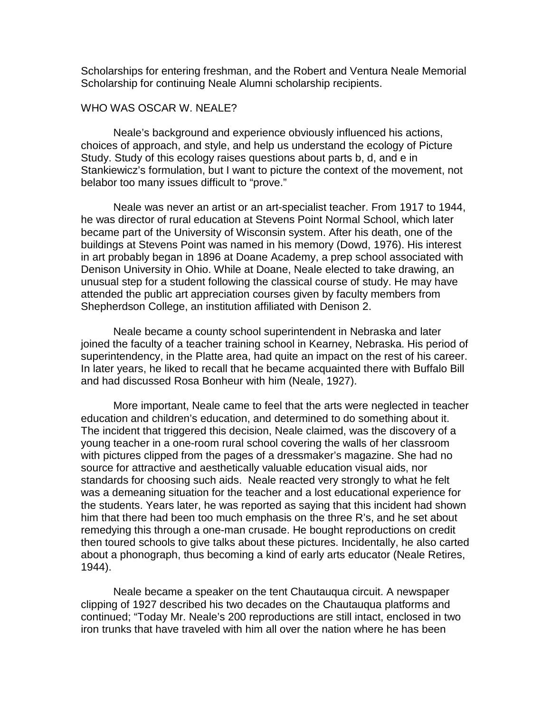Scholarships for entering freshman, and the Robert and Ventura Neale Memorial Scholarship for continuing Neale Alumni scholarship recipients.

## WHO WAS OSCAR W. NEALE?

Neale's background and experience obviously influenced his actions, choices of approach, and style, and help us understand the ecology of Picture Study. Study of this ecology raises questions about parts b, d, and e in Stankiewicz's formulation, but I want to picture the context of the movement, not belabor too many issues difficult to "prove."

Neale was never an artist or an art-specialist teacher. From 1917 to 1944, he was director of rural education at Stevens Point Normal School, which later became part of the University of Wisconsin system. After his death, one of the buildings at Stevens Point was named in his memory (Dowd, 1976). His interest in art probably began in 1896 at Doane Academy, a prep school associated with Denison University in Ohio. While at Doane, Neale elected to take drawing, an unusual step for a student following the classical course of study. He may have attended the public art appreciation courses given by faculty members from Shepherdson College, an institution affiliated with Denison 2.

Neale became a county school superintendent in Nebraska and later joined the faculty of a teacher training school in Kearney, Nebraska. His period of superintendency, in the Platte area, had quite an impact on the rest of his career. In later years, he liked to recall that he became acquainted there with Buffalo Bill and had discussed Rosa Bonheur with him (Neale, 1927).

More important, Neale came to feel that the arts were neglected in teacher education and children's education, and determined to do something about it. The incident that triggered this decision, Neale claimed, was the discovery of a young teacher in a one-room rural school covering the walls of her classroom with pictures clipped from the pages of a dressmaker's magazine. She had no source for attractive and aesthetically valuable education visual aids, nor standards for choosing such aids. Neale reacted very strongly to what he felt was a demeaning situation for the teacher and a lost educational experience for the students. Years later, he was reported as saying that this incident had shown him that there had been too much emphasis on the three R's, and he set about remedying this through a one-man crusade. He bought reproductions on credit then toured schools to give talks about these pictures. Incidentally, he also carted about a phonograph, thus becoming a kind of early arts educator (Neale Retires, 1944).

Neale became a speaker on the tent Chautauqua circuit. A newspaper clipping of 1927 described his two decades on the Chautauqua platforms and continued; "Today Mr. Neale's 200 reproductions are still intact, enclosed in two iron trunks that have traveled with him all over the nation where he has been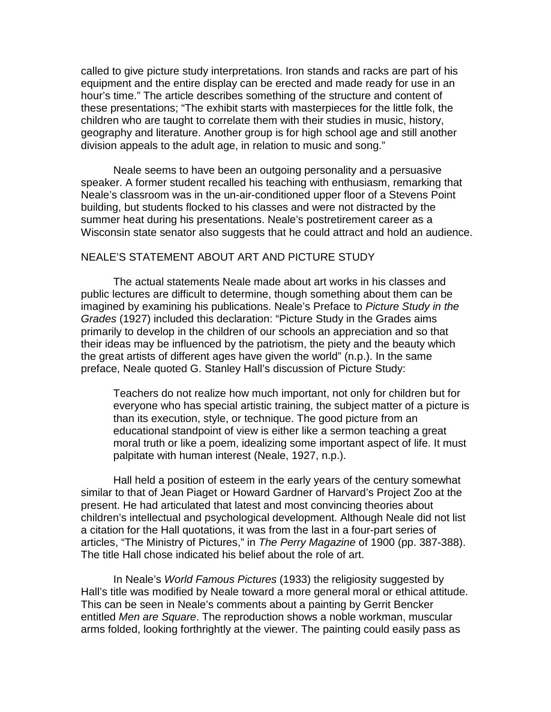called to give picture study interpretations. Iron stands and racks are part of his equipment and the entire display can be erected and made ready for use in an hour's time." The article describes something of the structure and content of these presentations; "The exhibit starts with masterpieces for the little folk, the children who are taught to correlate them with their studies in music, history, geography and literature. Another group is for high school age and still another division appeals to the adult age, in relation to music and song."

Neale seems to have been an outgoing personality and a persuasive speaker. A former student recalled his teaching with enthusiasm, remarking that Neale's classroom was in the un-air-conditioned upper floor of a Stevens Point building, but students flocked to his classes and were not distracted by the summer heat during his presentations. Neale's postretirement career as a Wisconsin state senator also suggests that he could attract and hold an audience.

## NEALE'S STATEMENT ABOUT ART AND PICTURE STUDY

The actual statements Neale made about art works in his classes and public lectures are difficult to determine, though something about them can be imagined by examining his publications. Neale's Preface to *Picture Study in the Grades* (1927) included this declaration: "Picture Study in the Grades aims primarily to develop in the children of our schools an appreciation and so that their ideas may be influenced by the patriotism, the piety and the beauty which the great artists of different ages have given the world" (n.p.). In the same preface, Neale quoted G. Stanley Hall's discussion of Picture Study:

Teachers do not realize how much important, not only for children but for everyone who has special artistic training, the subject matter of a picture is than its execution, style, or technique. The good picture from an educational standpoint of view is either like a sermon teaching a great moral truth or like a poem, idealizing some important aspect of life. It must palpitate with human interest (Neale, 1927, n.p.).

Hall held a position of esteem in the early years of the century somewhat similar to that of Jean Piaget or Howard Gardner of Harvard's Project Zoo at the present. He had articulated that latest and most convincing theories about children's intellectual and psychological development. Although Neale did not list a citation for the Hall quotations, it was from the last in a four-part series of articles, "The Ministry of Pictures," in *The Perry Magazine* of 1900 (pp. 387-388). The title Hall chose indicated his belief about the role of art.

In Neale's *World Famous Pictures* (1933) the religiosity suggested by Hall's title was modified by Neale toward a more general moral or ethical attitude. This can be seen in Neale's comments about a painting by Gerrit Bencker entitled *Men are Square*. The reproduction shows a noble workman, muscular arms folded, looking forthrightly at the viewer. The painting could easily pass as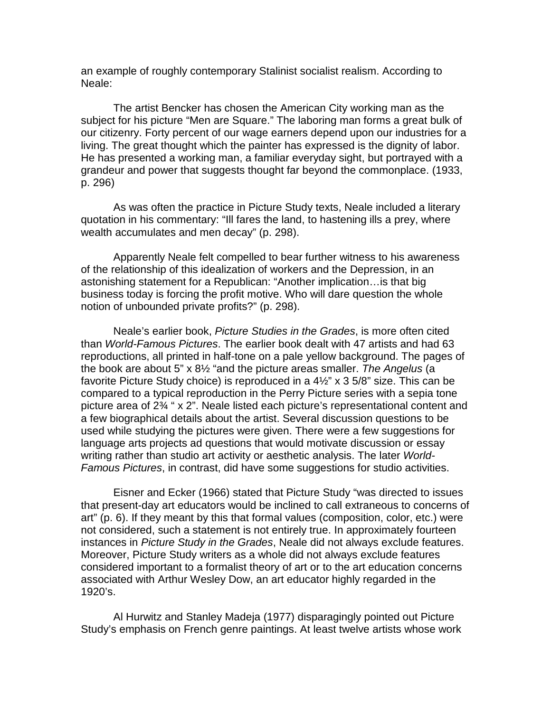an example of roughly contemporary Stalinist socialist realism. According to Neale:

The artist Bencker has chosen the American City working man as the subject for his picture "Men are Square." The laboring man forms a great bulk of our citizenry. Forty percent of our wage earners depend upon our industries for a living. The great thought which the painter has expressed is the dignity of labor. He has presented a working man, a familiar everyday sight, but portrayed with a grandeur and power that suggests thought far beyond the commonplace. (1933, p. 296)

As was often the practice in Picture Study texts, Neale included a literary quotation in his commentary: "Ill fares the land, to hastening ills a prey, where wealth accumulates and men decay" (p. 298).

Apparently Neale felt compelled to bear further witness to his awareness of the relationship of this idealization of workers and the Depression, in an astonishing statement for a Republican: "Another implication…is that big business today is forcing the profit motive. Who will dare question the whole notion of unbounded private profits?" (p. 298).

Neale's earlier book, *Picture Studies in the Grades*, is more often cited than *World-Famous Pictures*. The earlier book dealt with 47 artists and had 63 reproductions, all printed in half-tone on a pale yellow background. The pages of the book are about 5" x 8½ "and the picture areas smaller. *The Angelus* (a favorite Picture Study choice) is reproduced in a  $4\frac{1}{2}$ " x 3 5/8" size. This can be compared to a typical reproduction in the Perry Picture series with a sepia tone picture area of 2¾ " x 2". Neale listed each picture's representational content and a few biographical details about the artist. Several discussion questions to be used while studying the pictures were given. There were a few suggestions for language arts projects ad questions that would motivate discussion or essay writing rather than studio art activity or aesthetic analysis. The later *World-Famous Pictures*, in contrast, did have some suggestions for studio activities.

Eisner and Ecker (1966) stated that Picture Study "was directed to issues that present-day art educators would be inclined to call extraneous to concerns of art" (p. 6). If they meant by this that formal values (composition, color, etc.) were not considered, such a statement is not entirely true. In approximately fourteen instances in *Picture Study in the Grades*, Neale did not always exclude features. Moreover, Picture Study writers as a whole did not always exclude features considered important to a formalist theory of art or to the art education concerns associated with Arthur Wesley Dow, an art educator highly regarded in the 1920's.

Al Hurwitz and Stanley Madeja (1977) disparagingly pointed out Picture Study's emphasis on French genre paintings. At least twelve artists whose work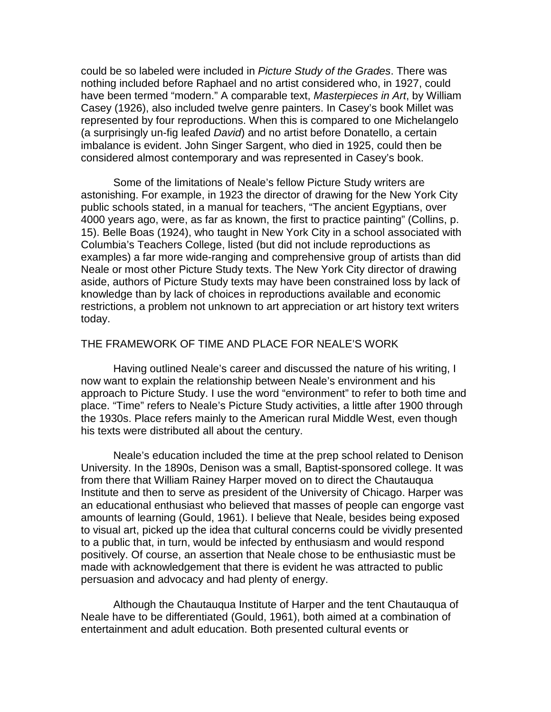could be so labeled were included in *Picture Study of the Grades*. There was nothing included before Raphael and no artist considered who, in 1927, could have been termed "modern." A comparable text, *Masterpieces in Art*, by William Casey (1926), also included twelve genre painters. In Casey's book Millet was represented by four reproductions. When this is compared to one Michelangelo (a surprisingly un-fig leafed *David*) and no artist before Donatello, a certain imbalance is evident. John Singer Sargent, who died in 1925, could then be considered almost contemporary and was represented in Casey's book.

Some of the limitations of Neale's fellow Picture Study writers are astonishing. For example, in 1923 the director of drawing for the New York City public schools stated, in a manual for teachers, "The ancient Egyptians, over 4000 years ago, were, as far as known, the first to practice painting" (Collins, p. 15). Belle Boas (1924), who taught in New York City in a school associated with Columbia's Teachers College, listed (but did not include reproductions as examples) a far more wide-ranging and comprehensive group of artists than did Neale or most other Picture Study texts. The New York City director of drawing aside, authors of Picture Study texts may have been constrained loss by lack of knowledge than by lack of choices in reproductions available and economic restrictions, a problem not unknown to art appreciation or art history text writers today.

## THE FRAMEWORK OF TIME AND PLACE FOR NEALE'S WORK

Having outlined Neale's career and discussed the nature of his writing, I now want to explain the relationship between Neale's environment and his approach to Picture Study. I use the word "environment" to refer to both time and place. "Time" refers to Neale's Picture Study activities, a little after 1900 through the 1930s. Place refers mainly to the American rural Middle West, even though his texts were distributed all about the century.

Neale's education included the time at the prep school related to Denison University. In the 1890s, Denison was a small, Baptist-sponsored college. It was from there that William Rainey Harper moved on to direct the Chautauqua Institute and then to serve as president of the University of Chicago. Harper was an educational enthusiast who believed that masses of people can engorge vast amounts of learning (Gould, 1961). I believe that Neale, besides being exposed to visual art, picked up the idea that cultural concerns could be vividly presented to a public that, in turn, would be infected by enthusiasm and would respond positively. Of course, an assertion that Neale chose to be enthusiastic must be made with acknowledgement that there is evident he was attracted to public persuasion and advocacy and had plenty of energy.

Although the Chautauqua Institute of Harper and the tent Chautauqua of Neale have to be differentiated (Gould, 1961), both aimed at a combination of entertainment and adult education. Both presented cultural events or